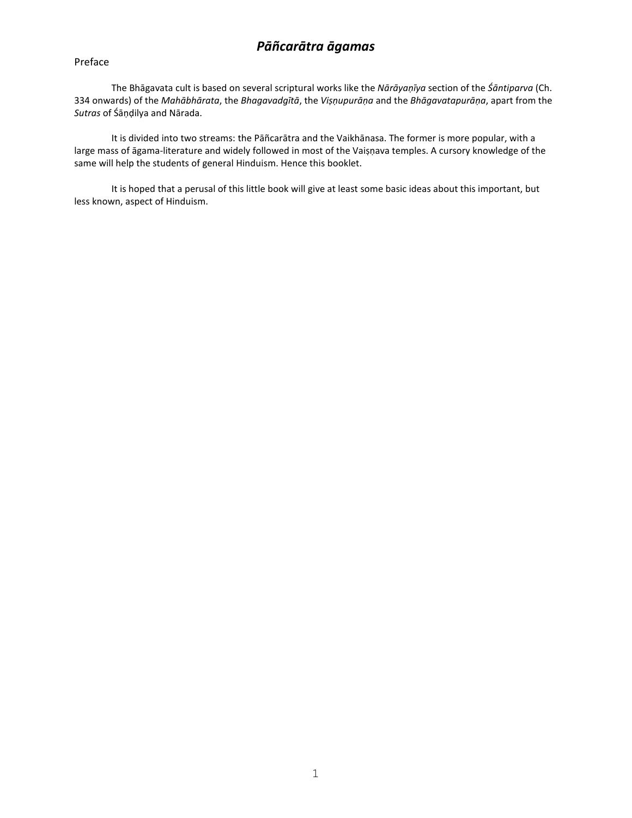# *Pāñcarātra āgamas*

#### Preface

The Bhāgavata cult is based on several scriptural works like the *Nārāyaṇīya* section of the *Śāntiparva* (Ch. 334 onwards) of the *Mahābhārata*, the *Bhagavadgītā*, the *Viṣṇupurāṇa* and the *Bhāgavatapurāṇa*, apart from the *Sutras* of Śāṇḍilya and Nārada.

It is divided into two streams: the Pāñcarātra and the Vaikhānasa. The former is more popular, with a large mass of āgama-literature and widely followed in most of the Vaiṣṇava temples. A cursory knowledge of the same will help the students of general Hinduism. Hence this booklet.

It is hoped that a perusal of this little book will give at least some basic ideas about this important, but less known, aspect of Hinduism.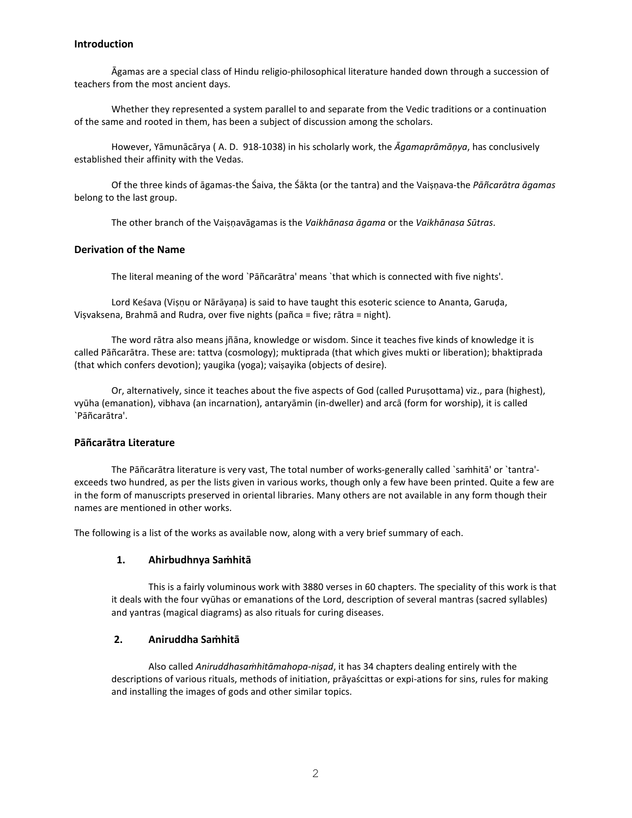#### **Introduction**

Āgamas are a special class of Hindu religio-philosophical literature handed down through a succession of teachers from the most ancient days.

Whether they represented a system parallel to and separate from the Vedic traditions or a continuation of the same and rooted in them, has been a subject of discussion among the scholars.

However, Yāmunācārya ( A. D. 918-1038) in his scholarly work, the *Āgamaprāmāṇya*, has conclusively established their affinity with the Vedas.

Of the three kinds of āgamas-the Śaiva, the Śākta (or the tantra) and the Vaiṣṇava-the *Pāñcarātra āgamas* belong to the last group.

The other branch of the Vaiṣṇavāgamas is the *Vaikhānasa āgama* or the *Vaikhānasa Sūtras*.

# **Derivation of the Name**

The literal meaning of the word `Pāñcarātra' means `that which is connected with five nights'.

Lord Keśava (Viṣṇu or Nārāyaṇa) is said to have taught this esoteric science to Ananta, Garuḍa, Viṣvaksena, Brahmā and Rudra, over five nights (pañca = five; rātra = night).

The word rātra also means jñāna, knowledge or wisdom. Since it teaches five kinds of knowledge it is called Pāñcarātra. These are: tattva (cosmology); muktiprada (that which gives mukti or liberation); bhaktiprada (that which confers devotion); yaugika (yoga); vaiṣayika (objects of desire).

Or, alternatively, since it teaches about the five aspects of God (called Purusottama) viz., para (highest), vyūha (emanation), vibhava (an incarnation), antaryāmin (in-dweller) and arcā (form for worship), it is called `Pāñcarātra'.

## **Pāñcarātra Literature**

The Pāñcarātra literature is very vast, The total number of works-generally called `saṁhitā' or `tantra' exceeds two hundred, as per the lists given in various works, though only a few have been printed. Quite a few are in the form of manuscripts preserved in oriental libraries. Many others are not available in any form though their names are mentioned in other works.

The following is a list of the works as available now, along with a very brief summary of each.

#### **1. Ahirbudhnya Saṁhitā**

This is a fairly voluminous work with 3880 verses in 60 chapters. The speciality of this work is that it deals with the four vyūhas or emanations of the Lord, description of several mantras (sacred syllables) and yantras (magical diagrams) as also rituals for curing diseases.

#### **2. Aniruddha Saṁhitā**

Also called *Aniruddhasaṁhitāmahopa-niṣad*, it has 34 chapters dealing entirely with the descriptions of various rituals, methods of initiation, prāyaścittas or expi-ations for sins, rules for making and installing the images of gods and other similar topics.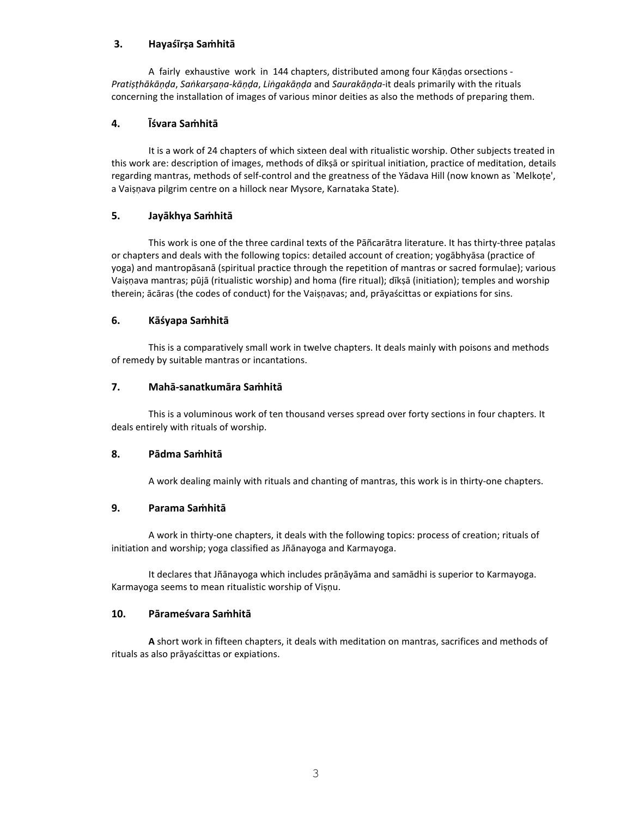# **3. Hayaśīrṣa Saṁhitā**

A fairly exhaustive work in 144 chapters, distributed among four Kāṇḍas orsections - *Pratiṣṭhākāṇḍa*, *Saṅkarṣaṇa-kāṇḍa*, *Liṅgakāṇḍa* and *Saurakāṇḍa*-it deals primarily with the rituals concerning the installation of images of various minor deities as also the methods of preparing them.

## **4. Īśvara Saṁhitā**

It is a work of 24 chapters of which sixteen deal with ritualistic worship. Other subjects treated in this work are: description of images, methods of dīkṣā or spiritual initiation, practice of meditation, details regarding mantras, methods of self-control and the greatness of the Yādava Hill (now known as `Melkoṭe', a Vaiṣṇava pilgrim centre on a hillock near Mysore, Karnataka State).

# **5. Jayākhya Saṁhitā**

This work is one of the three cardinal texts of the Pāñcarātra literature. It has thirty-three paṭalas or chapters and deals with the following topics: detailed account of creation; yogābhyāsa (practice of yoga) and mantropāsanā (spiritual practice through the repetition of mantras or sacred formulae); various Vaiṣṇava mantras; pūjā (ritualistic worship) and homa (fire ritual); dīkṣā (initiation); temples and worship therein; ācāras (the codes of conduct) for the Vaiṣṇavas; and, prāyaścittas or expiations for sins.

## **6. Kāśyapa Saṁhitā**

This is a comparatively small work in twelve chapters. It deals mainly with poisons and methods of remedy by suitable mantras or incantations.

## **7. Mahā-sanatkumāra Saṁhitā**

This is a voluminous work of ten thousand verses spread over forty sections in four chapters. It deals entirely with rituals of worship.

#### **8. Pādma Saṁhitā**

A work dealing mainly with rituals and chanting of mantras, this work is in thirty-one chapters.

# **9. Parama Saṁhitā**

A work in thirty-one chapters, it deals with the following topics: process of creation; rituals of initiation and worship; yoga classified as Jñānayoga and Karmayoga.

It declares that Jñānayoga which includes prāṇāyāma and samādhi is superior to Karmayoga. Karmayoga seems to mean ritualistic worship of Viṣṇu.

### **10. Pārameśvara Saṁhitā**

**A** short work in fifteen chapters, it deals with meditation on mantras, sacrifices and methods of rituals as also prāyaścittas or expiations.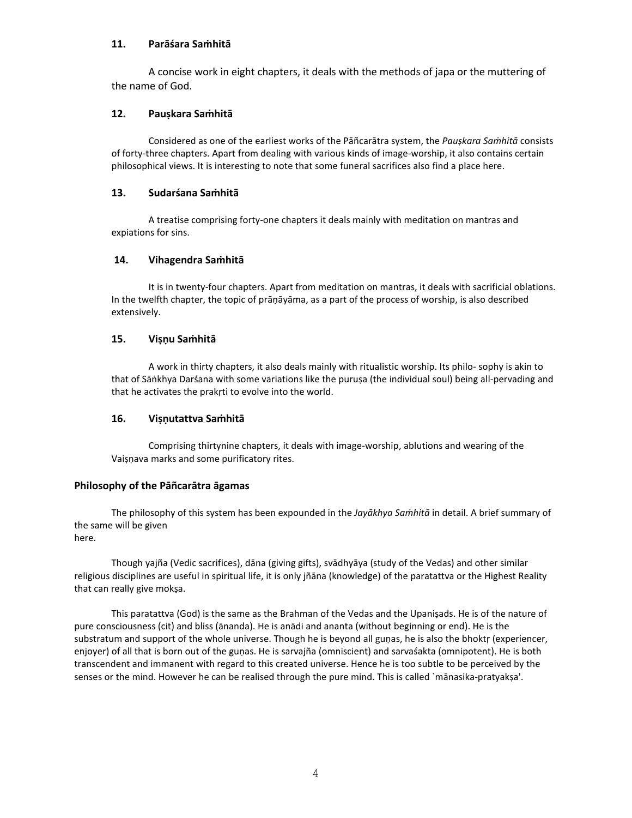# **11. Parāśara Saṁhitā**

A concise work in eight chapters, it deals with the methods of japa or the muttering of the name of God.

## **12. Pauṣkara Saṁhitā**

Considered as one of the earliest works of the Pāñcarātra system, the *Pauṣkara Saṁhitā* consists of forty-three chapters. Apart from dealing with various kinds of image-worship, it also contains certain philosophical views. It is interesting to note that some funeral sacrifices also find a place here.

## **13. Sudarśana Saṁhitā**

A treatise comprising forty-one chapters it deals mainly with meditation on mantras and expiations for sins.

## **14. Vihagendra Saṁhitā**

It is in twenty-four chapters. Apart from meditation on mantras, it deals with sacrificial oblations. In the twelfth chapter, the topic of prāṇāyāma, as a part of the process of worship, is also described extensively.

## **15. Viṣṇu Saṁhitā**

A work in thirty chapters, it also deals mainly with ritualistic worship. Its philo- sophy is akin to that of Sāṅkhya Darśana with some variations like the puruṣa (the individual soul) being all-pervading and that he activates the prakṛti to evolve into the world.

#### **16. Viṣṇutattva Saṁhitā**

Comprising thirtynine chapters, it deals with image-worship, ablutions and wearing of the Vaisnava marks and some purificatory rites.

#### **Philosophy of the Pāñcarātra āgamas**

The philosophy of this system has been expounded in the *Jayākhya Saṁhitā* in detail. A brief summary of the same will be given

here.

Though yajña (Vedic sacrifices), dāna (giving gifts), svādhyāya (study of the Vedas) and other similar religious disciplines are useful in spiritual life, it is only jñāna (knowledge) of the paratattva or the Highest Reality that can really give mokṣa.

This paratattva (God) is the same as the Brahman of the Vedas and the Upaniṣads. He is of the nature of pure consciousness (cit) and bliss (ānanda). He is anādi and ananta (without beginning or end). He is the substratum and support of the whole universe. Though he is beyond all gunas, he is also the bhoktr (experiencer, enjoyer) of all that is born out of the guṇas. He is sarvajña (omniscient) and sarvaśakta (omnipotent). He is both transcendent and immanent with regard to this created universe. Hence he is too subtle to be perceived by the senses or the mind. However he can be realised through the pure mind. This is called `mānasika-pratyakṣa'.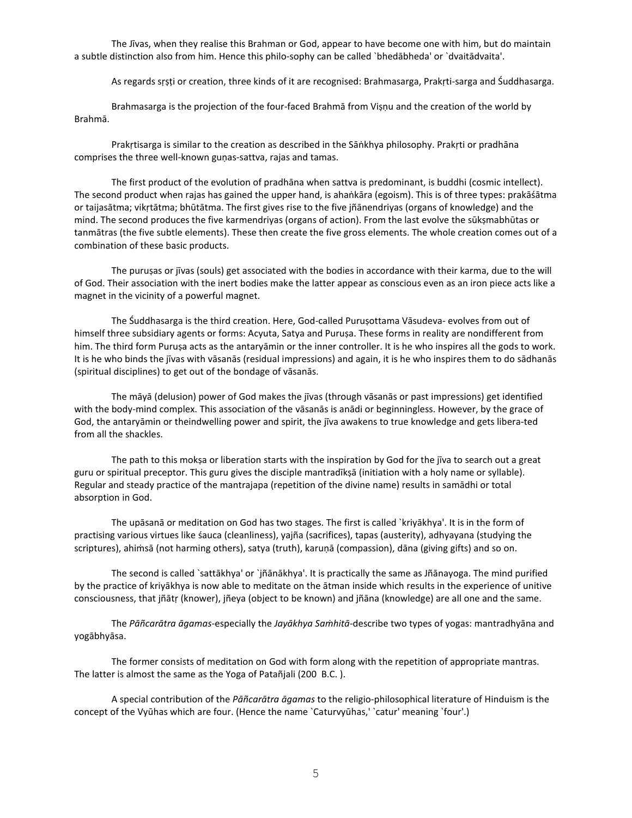The Jīvas, when they realise this Brahman or God, appear to have become one with him, but do maintain a subtle distinction also from him. Hence this philo-sophy can be called `bhedābheda' or `dvaitādvaita'.

As regards sṛṣṭi or creation, three kinds of it are recognised: Brahmasarga, Prakṛti-sarga and Śuddhasarga.

Brahmasarga is the projection of the four-faced Brahmā from Viṣṇu and the creation of the world by Brahmā.

Prakṛtisarga is similar to the creation as described in the Sāṅkhya philosophy. Prakṛti or pradhāna comprises the three well-known guṇas-sattva, rajas and tamas.

The first product of the evolution of pradhāna when sattva is predominant, is buddhi (cosmic intellect). The second product when rajas has gained the upper hand, is ahaṅkāra (egoism). This is of three types: prakāśātma or taijasātma; vikṛtātma; bhūtātma. The first gives rise to the five jñānendriyas (organs of knowledge) and the mind. The second produces the five karmendriyas (organs of action). From the last evolve the sūkṣmabhūtas or tanmātras (the five subtle elements). These then create the five gross elements. The whole creation comes out of a combination of these basic products.

The puruṣas or jīvas (souls) get associated with the bodies in accordance with their karma, due to the will of God. Their association with the inert bodies make the latter appear as conscious even as an iron piece acts like a magnet in the vicinity of a powerful magnet.

The Śuddhasarga is the third creation. Here, God-called Puruṣottama Vāsudeva- evolves from out of himself three subsidiary agents or forms: Acyuta, Satya and Puruṣa. These forms in reality are nondifferent from him. The third form Puruṣa acts as the antaryāmin or the inner controller. It is he who inspires all the gods to work. It is he who binds the jīvas with vāsanās (residual impressions) and again, it is he who inspires them to do sādhanās (spiritual disciplines) to get out of the bondage of vāsanās.

The māyā (delusion) power of God makes the jīvas (through vāsanās or past impressions) get identified with the body-mind complex. This association of the vāsanās is anādi or beginningless. However, by the grace of God, the antaryāmin or theindwelling power and spirit, the jīva awakens to true knowledge and gets libera-ted from all the shackles.

The path to this mokṣa or liberation starts with the inspiration by God for the jīva to search out a great guru or spiritual preceptor. This guru gives the disciple mantradīkṣā (initiation with a holy name or syllable). Regular and steady practice of the mantrajapa (repetition of the divine name) results in samādhi or total absorption in God.

The upāsanā or meditation on God has two stages. The first is called `kriyākhya'. It is in the form of practising various virtues like śauca (cleanliness), yajña (sacrifices), tapas (austerity), adhyayana (studying the scriptures), ahiṁsā (not harming others), satya (truth), karuṇā (compassion), dāna (giving gifts) and so on.

The second is called `sattākhya' or `jñānākhya'. It is practically the same as Jñānayoga. The mind purified by the practice of kriyākhya is now able to meditate on the ātman inside which results in the experience of unitive consciousness, that jñātṛ (knower), jñeya (object to be known) and jñāna (knowledge) are all one and the same.

The *Pāñcarātra āgamas*-especially the *Jayākhya Saṁhitā*-describe two types of yogas: mantradhyāna and yogābhyāsa.

The former consists of meditation on God with form along with the repetition of appropriate mantras. The latter is almost the same as the Yoga of Patañjali (200 B.C. ).

A special contribution of the *Pāñcarātra āgamas* to the religio-philosophical literature of Hinduism is the concept of the Vyūhas which are four. (Hence the name `Caturvyūhas,' `catur' meaning `four'.)